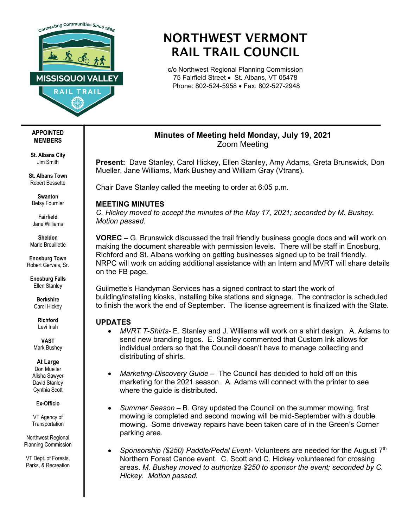

# NORTHWEST VERMONT RAIL TRAIL COUNCIL

c/o Northwest Regional Planning Commission 75 Fairfield Street • St. Albans, VT 05478 Phone: 802-524-5958 • Fax: 802-527-2948

## **Minutes of Meeting held Monday, July 19, 2021** Zoom Meeting

**Present:** Dave Stanley, Carol Hickey, Ellen Stanley, Amy Adams, Greta Brunswick, Don Mueller, Jane Williams, Mark Bushey and William Gray (Vtrans).

Chair Dave Stanley called the meeting to order at 6:05 p.m.

## **MEETING MINUTES**

*C. Hickey moved to accept the minutes of the May 17, 2021; seconded by M. Bushey. Motion passed.* 

**VOREC –** G. Brunswick discussed the trail friendly business google docs and will work on making the document shareable with permission levels. There will be staff in Enosburg, Richford and St. Albans working on getting businesses signed up to be trail friendly. NRPC will work on adding additional assistance with an Intern and MVRT will share details on the FB page.

Guilmette's Handyman Services has a signed contract to start the work of building/installing kiosks, installing bike stations and signage. The contractor is scheduled to finish the work the end of September. The license agreement is finalized with the State.

## **UPDATES**

- *MVRT T-Shirts-* E. Stanley and J. Williams will work on a shirt design. A. Adams to send new branding logos. E. Stanley commented that Custom Ink allows for individual orders so that the Council doesn't have to manage collecting and distributing of shirts.
- *Marketing-Discovery Guide –* The Council has decided to hold off on this marketing for the 2021 season. A. Adams will connect with the printer to see where the guide is distributed.
- *Summer Season –* B. Gray updated the Council on the summer mowing, first mowing is completed and second mowing will be mid-September with a double mowing. Some driveway repairs have been taken care of in the Green's Corner parking area.
- *Sponsorship (\$250) Paddle/Pedal Event-* Volunteers are needed for the August 7th Northern Forest Canoe event. C. Scott and C. Hickey volunteered for crossing areas. *M. Bushey moved to authorize \$250 to sponsor the event; seconded by C. Hickey. Motion passed.*

#### **APPOINTED MEMBERS**

**St. Albans City** Jim Smith

**St. Albans Town** Robert Bessette

**Swanton** Betsy Fournier

**Fairfield** Jane Williams

**Sheldon** Marie Brouillette

**Enosburg Town** Robert Gervais, Sr.

**Enosburg Falls** Ellen Stanley

> **Berkshire** Carol Hickey

> > **Richford** Levi Irish

**VAST** Mark Bushey

**At Large**

Don Mueller Alisha Sawyer David Stanley Cynthia Scott

**Ex-Officio**

VT Agency of **Transportation** 

Northwest Regional Planning Commission

VT Dept. of Forests, Parks, & Recreation